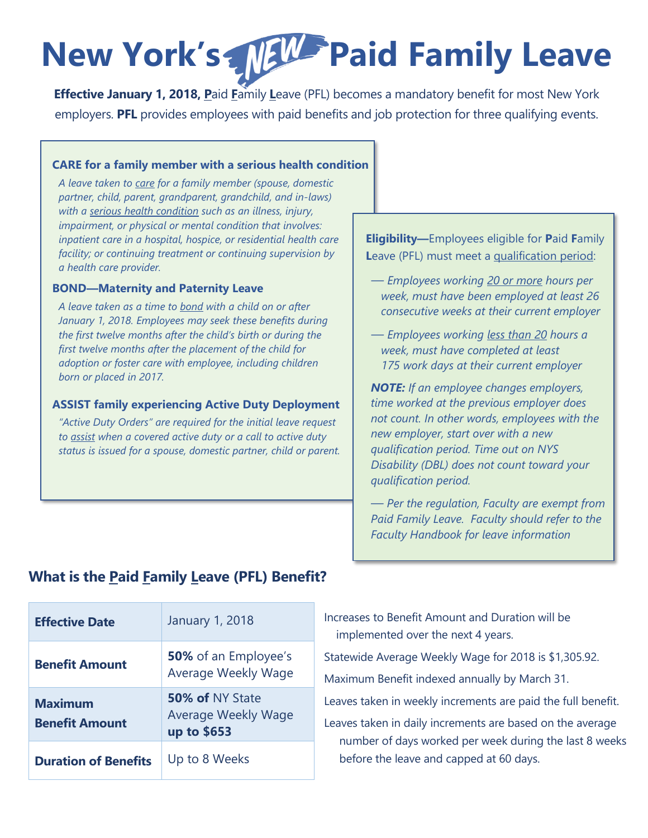# **New York's**<sup>*MEW* Paid Family Leave</sup>

**Effective January 1, 2018, Paid Family Leave (PFL) becomes a mandatory benefit for most New York** employers. **PFL** provides employees with paid benefits and job protection for three qualifying events.

# **CARE for a family member with a serious health condition**

*A leave taken to care for a family member (spouse, domestic partner, child, parent, grandparent, grandchild, and in-laws) with a serious health condition such as an illness, injury, impairment, or physical or mental condition that involves: inpatient care in a hospital, hospice, or residential health care facility; or continuing treatment or continuing supervision by a health care provider.*

## **BOND—Maternity and Paternity Leave**

*A leave taken as a time to bond with a child on or after January 1, 2018. Employees may seek these benefits during the first twelve months after the child's birth or during the first twelve months after the placement of the child for adoption or foster care with employee, including children born or placed in 2017.*

## **ASSIST family experiencing Active Duty Deployment**

*"Active Duty Orders" are required for the initial leave request to assist when a covered active duty or a call to active duty status is issued for a spouse, domestic partner, child or parent.*  **Eligibility—**Employees eligible for **P**aid **F**amily Leave (PFL) must meet a qualification period:

- *— Employees working 20 or more hours per week, must have been employed at least 26 consecutive weeks at their current employer*
- *— Employees working less than 20 hours a week, must have completed at least 175 work days at their current employer*

*NOTE: If an employee changes employers, time worked at the previous employer does not count. In other words, employees with the new employer, start over with a new qualification period. Time out on NYS Disability (DBL) does not count toward your qualification period.*

*— Per the regulation, Faculty are exempt from Paid Family Leave. Faculty should refer to the Faculty Handbook for leave information*

| <b>Effective Date</b>                   | January 1, 2018                                       |  |
|-----------------------------------------|-------------------------------------------------------|--|
| <b>Benefit Amount</b>                   | <b>50%</b> of an Employee's<br>Average Weekly Wage    |  |
| <b>Maximum</b><br><b>Benefit Amount</b> | 50% of NY State<br>Average Weekly Wage<br>up to \$653 |  |
| <b>Duration of Benefits</b>             | Up to 8 Weeks                                         |  |

# **What is the Paid Family Leave (PFL) Benefit?**

Increases to Benefit Amount and Duration will be implemented over the next 4 years. Statewide Average Weekly Wage for 2018 is \$1,305.92. Maximum Benefit indexed annually by March 31. Leaves taken in weekly increments are paid the full benefit. Leaves taken in daily increments are based on the average number of days worked per week during the last 8 weeks before the leave and capped at 60 days.